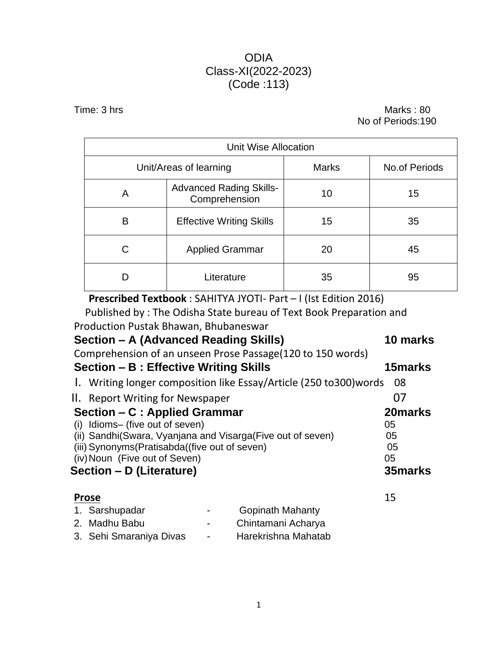### ODIA Class-XI(2022-2023) (Code :113)

Time: 3 hrs Marks : 80 No of Periods:190

| <b>Unit Wise Allocation</b>          |                                                 |              |                      |  |  |
|--------------------------------------|-------------------------------------------------|--------------|----------------------|--|--|
|                                      | Unit/Areas of learning                          | <b>Marks</b> | <b>No.of Periods</b> |  |  |
| A                                    | <b>Advanced Rading Skills-</b><br>Comprehension | 10           | 15                   |  |  |
| Β<br><b>Effective Writing Skills</b> |                                                 | 15           | 35                   |  |  |
| <b>Applied Grammar</b><br>C          |                                                 | 20           | 45                   |  |  |
|                                      | Literature                                      | 35           | 95                   |  |  |

**Prescribed Textbook** : SAHITYA JYOTI- Part – I (Ist Edition 2016)

Published by : The Odisha State bureau of Text Book Preparation and Production Pustak Bhawan, Bhubaneswar

| Section - A (Advanced Reading Skills)<br>Comprehension of an unseen Prose Passage(120 to 150 words)                                                                                                                                               |                                               | 10 marks                                    |
|---------------------------------------------------------------------------------------------------------------------------------------------------------------------------------------------------------------------------------------------------|-----------------------------------------------|---------------------------------------------|
| Section - B : Effective Writing Skills                                                                                                                                                                                                            |                                               | 15 marks                                    |
| 1. Writing longer composition like Essay/Article (250 to 300) words                                                                                                                                                                               |                                               | 08                                          |
| II. Report Writing for Newspaper                                                                                                                                                                                                                  |                                               | 07                                          |
| Section – C : Applied Grammar<br>Idioms- (five out of seven)<br>(i)<br>(ii) Sandhi(Swara, Vyanjana and Visarga(Five out of seven)<br>(iii) Synonyms (Pratisabda ((five out of seven)<br>(iv) Noun (Five out of Seven)<br>Section – D (Literature) |                                               | 20 marks<br>05<br>05<br>05<br>05<br>35marks |
| <b>Prose</b><br>1. Sarshupadar<br>2. Madhu Babu                                                                                                                                                                                                   | <b>Gopinath Mahanty</b><br>Chintamani Acharya | 15                                          |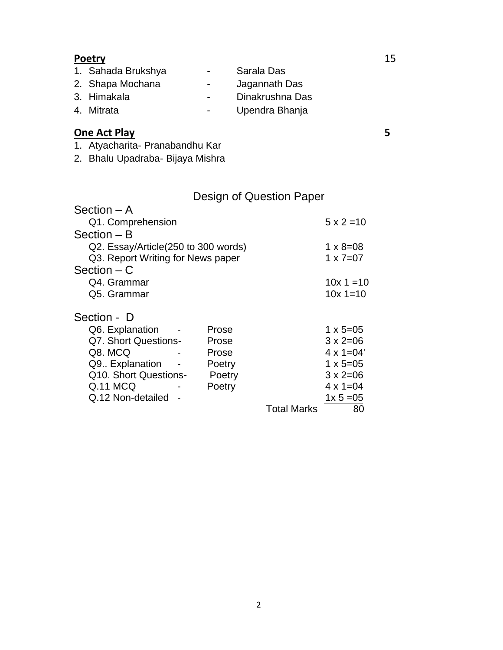## **Poetry** 15

| 1. Sahada Brukshya | $\sim$           | Sarala Das      |
|--------------------|------------------|-----------------|
| 2. Shapa Mochana   | $\sim$           | Jagannath Das   |
| 3. Himakala        | $\sim$           | Dinakrushna Das |
| 4. Mitrata         | $\sim$ 100 $\mu$ | Upendra Bhanja  |
|                    |                  |                 |

# **One Act Play 5**

1. Atyacharita- Pranabandhu Kar

2. Bhalu Upadraba- Bijaya Mishra

# Design of Question Paper

| Section $- A$                       |        |                    |                    |
|-------------------------------------|--------|--------------------|--------------------|
| Q1. Comprehension                   |        |                    | $5 \times 2 = 10$  |
| Section – B                         |        |                    |                    |
| Q2. Essay/Article(250 to 300 words) |        |                    | $1 \times 8 = 08$  |
| Q3. Report Writing for News paper   |        |                    | $1 \times 7 = 07$  |
| $Section - C$                       |        |                    |                    |
| Q4. Grammar                         |        |                    | $10x 1 = 10$       |
| Q5. Grammar                         |        |                    | $10x = 10$         |
| Section - D                         |        |                    |                    |
| Q6. Explanation                     | Prose  |                    | $1 \times 5 = 05$  |
| Q7. Short Questions-                | Prose  |                    | $3 \times 2 = 06$  |
| Q8. MCQ                             | Prose  |                    | $4 \times 1 = 04'$ |
| Q9. Explanation                     | Poetry |                    | $1 \times 5 = 05$  |
| Q10. Short Questions-               | Poetry |                    | $3 \times 2 = 06$  |
| Q.11 MCQ                            | Poetry |                    | $4 \times 1 = 04$  |
| Q.12 Non-detailed                   |        |                    | $1x 5 = 05$        |
|                                     |        | <b>Total Marks</b> | 80                 |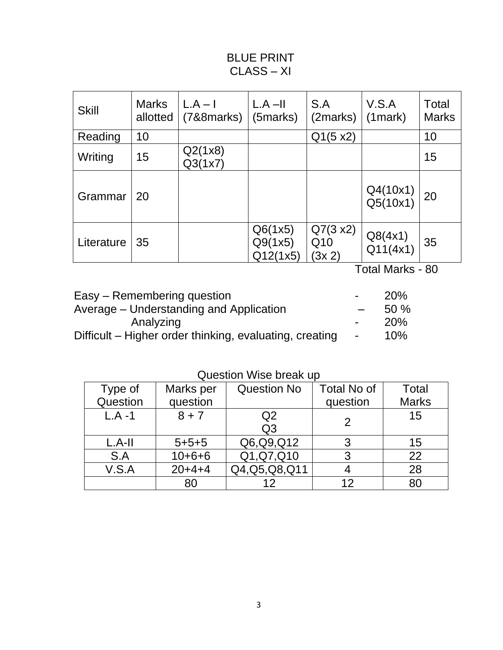# BLUE PRINT CLASS – XI

| <b>Skill</b> | <b>Marks</b><br>allotted | $L.A - I$<br>$(7&8$ 8 marks) | $L.A - II$<br>(5marks)         | S.A<br>(2marks)           | V.S.A<br>$(1$ mark $)$ | Total<br><b>Marks</b> |
|--------------|--------------------------|------------------------------|--------------------------------|---------------------------|------------------------|-----------------------|
| Reading      | 10                       |                              |                                | Q1(5 x2)                  |                        | 10                    |
| Writing      | 15                       | Q2(1x8)<br>Q3(1x7)           |                                |                           |                        | 15                    |
| Grammar      | 20                       |                              |                                |                           | Q4(10x1)<br>Q5(10x1)   | 20                    |
| Literature   | 35                       |                              | Q6(1x5)<br>Q9(1x5)<br>Q12(1x5) | Q7(3 x2)<br>Q10<br>(3x 2) | Q8(4x1)<br>Q11(4x1)    | 35                    |

Total Marks - 80

| Easy – Remembering question                             | $\sim$                   | <b>20%</b> |
|---------------------------------------------------------|--------------------------|------------|
| Average – Understanding and Application                 |                          | 50%        |
| Analyzing                                               | $\overline{\phantom{0}}$ | 20%        |
| Difficult – Higher order thinking, evaluating, creating | $\sim$                   | 10%        |
|                                                         |                          |            |

Question Wise break up

| Type of   | Marks per   | <b>Question No</b> | <b>Total No of</b> | <b>Total</b> |
|-----------|-------------|--------------------|--------------------|--------------|
| Question  | question    |                    | question           | <b>Marks</b> |
| $L.A - 1$ | $8 + 7$     | Q <sub>2</sub>     |                    | 15           |
|           |             | Q <sub>3</sub>     |                    |              |
| $L.A-II$  | $5 + 5 + 5$ | Q6,Q9,Q12          | 3                  | 15           |
| S.A       | $10+6+6$    | Q1, Q7, Q10        | 3                  | 22           |
| V.S.A     | $20+4+4$    | Q4, Q5, Q8, Q11    |                    | 28           |
|           | 80          | 12                 | 12                 | 80           |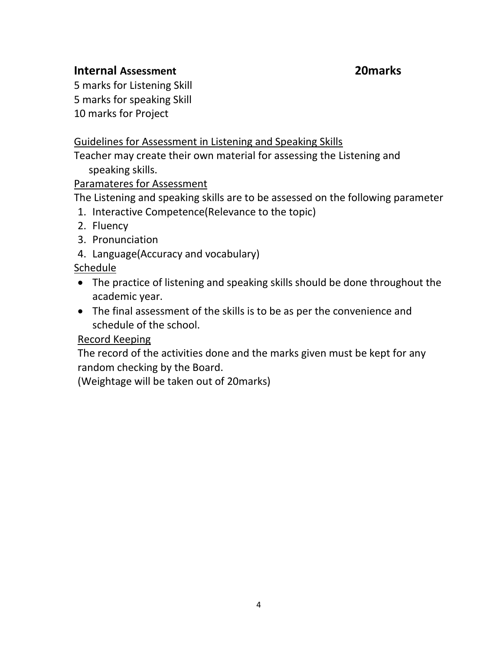### **Internal Assessment 20marks**

5 marks for Listening Skill 5 marks for speaking Skill 10 marks for Project

## Guidelines for Assessment in Listening and Speaking Skills

Teacher may create their own material for assessing the Listening and speaking skills.

#### Paramateres for Assessment

The Listening and speaking skills are to be assessed on the following parameter

- 1. Interactive Competence(Relevance to the topic)
- 2. Fluency
- 3. Pronunciation
- 4. Language(Accuracy and vocabulary)

#### Schedule

- The practice of listening and speaking skills should be done throughout the academic year.
- The final assessment of the skills is to be as per the convenience and schedule of the school.

#### Record Keeping

The record of the activities done and the marks given must be kept for any random checking by the Board.

(Weightage will be taken out of 20marks)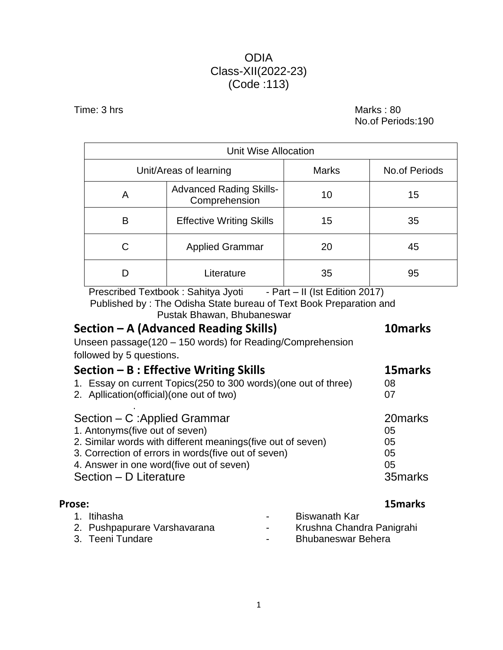## ODIA Class-XII(2022-23) (Code :113)

Time: 3 hrs Marks : 80

No.of Periods:190

| Unit Wise Allocation |                                                 |              |                      |  |  |
|----------------------|-------------------------------------------------|--------------|----------------------|--|--|
|                      | Unit/Areas of learning                          | <b>Marks</b> | <b>No.of Periods</b> |  |  |
| Α                    | <b>Advanced Rading Skills-</b><br>Comprehension | 10           | 15                   |  |  |
| В                    | <b>Effective Writing Skills</b>                 | 15           | 35                   |  |  |
| C                    | <b>Applied Grammar</b>                          | 20           | 45                   |  |  |
|                      | Literature                                      | 35           | 95                   |  |  |

Prescribed Textbook : Sahitya Jyoti - Part - II (Ist Edition 2017) Published by : The Odisha State bureau of Text Book Preparation and

Pustak Bhawan, Bhubaneswar

| Section - A (Advanced Reading Skills)                            | 10marks  |
|------------------------------------------------------------------|----------|
| Unseen passage(120 - 150 words) for Reading/Comprehension        |          |
| followed by 5 questions.                                         |          |
| Section $- B :$ Effective Writing Skills                         | 15marks  |
| 1. Essay on current Topics (250 to 300 words) (one out of three) | 08       |
| 2. Apllication(official)(one out of two)                         | 07       |
| Section – C: Applied Grammar                                     | 20marks  |
| 1. Antonyms (five out of seven)                                  | 05       |
| 2. Similar words with different meanings (five out of seven)     | 05       |
| 3. Correction of errors in words (five out of seven)             | 05       |
| 4. Answer in one word(five out of seven)                         | 05       |
| Section - D Literature                                           | 35 marks |
|                                                                  |          |

| <b>Prose:</b>                                                   |                                            | 15 marks                                                                |
|-----------------------------------------------------------------|--------------------------------------------|-------------------------------------------------------------------------|
| 1. Itihasha<br>2. Pushpapurare Varshavarana<br>3. Teeni Tundare | $\blacksquare$<br>$\sim$<br>$\blacksquare$ | Biswanath Kar<br>Krushna Chandra Panigrahi<br><b>Bhubaneswar Behera</b> |
|                                                                 |                                            |                                                                         |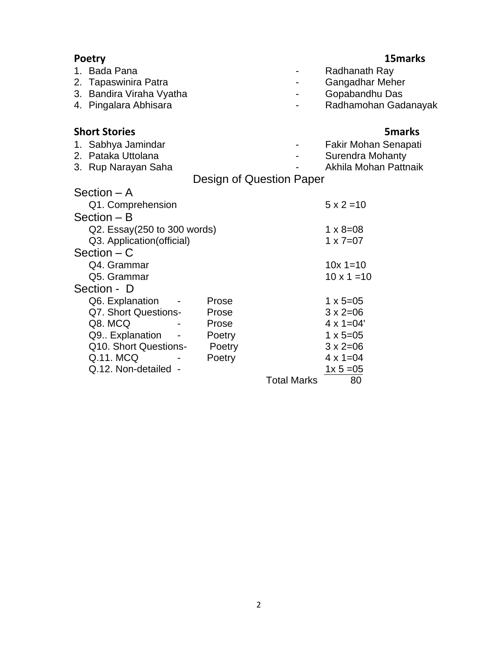| <b>Poetry</b>               |                          |                    | 15 marks                |
|-----------------------------|--------------------------|--------------------|-------------------------|
| 1. Bada Pana                |                          |                    | Radhanath Ray           |
| 2. Tapaswinira Patra        |                          |                    | Gangadhar Meher         |
| 3. Bandira Viraha Vyatha    |                          |                    | Gopabandhu Das          |
| 4. Pingalara Abhisara       |                          |                    | Radhamohan Gadanayak    |
| <b>Short Stories</b>        |                          |                    | <b>5marks</b>           |
| 1. Sabhya Jamindar          |                          |                    | Fakir Mohan Senapati    |
| 2. Pataka Uttolana          |                          |                    | <b>Surendra Mohanty</b> |
| 3. Rup Narayan Saha         |                          |                    | Akhila Mohan Pattnaik   |
|                             | Design of Question Paper |                    |                         |
| Section – A                 |                          |                    |                         |
| Q1. Comprehension           |                          |                    | $5 \times 2 = 10$       |
| $Section - B$               |                          |                    |                         |
| Q2. Essay(250 to 300 words) |                          |                    | $1 \times 8 = 08$       |
| Q3. Application (official)  |                          |                    | $1 \times 7 = 07$       |
| Section $- C$               |                          |                    |                         |
| Q4. Grammar                 |                          |                    | $10x = 10$              |
| Q5. Grammar                 |                          |                    | $10 \times 1 = 10$      |
| Section - D                 |                          |                    |                         |
| Q6. Explanation             | Prose                    |                    | $1 \times 5 = 05$       |
| Q7. Short Questions-        | Prose                    |                    | $3 \times 2 = 06$       |
| Q8. MCQ                     | Prose                    |                    | $4 \times 1 = 04'$      |
| Q9. Explanation             | Poetry                   |                    | $1 \times 5 = 05$       |
| Q10. Short Questions-       | Poetry                   |                    | $3 \times 2 = 06$       |
| Q.11. MCQ                   | Poetry                   |                    | $4 \times 1 = 04$       |
| Q.12. Non-detailed -        |                          |                    | $1x 5 = 05$             |
|                             |                          | <b>Total Marks</b> | 80                      |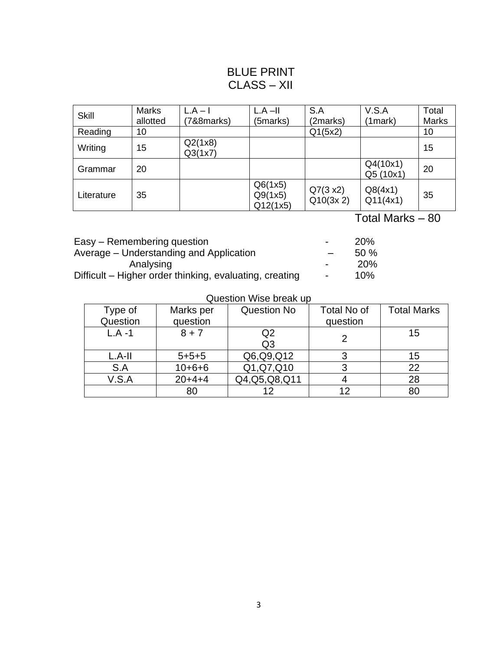## BLUE PRINT CLASS – XII

| <b>Skill</b> | <b>Marks</b><br>allotted | $L.A - I$<br>(788) | $L.A - II$<br>(5marks)         | S.A<br>(2marks)       | V.S.A<br>(1mark)      | Total<br><b>Marks</b> |
|--------------|--------------------------|--------------------|--------------------------------|-----------------------|-----------------------|-----------------------|
| Reading      | 10                       |                    |                                | Q1(5x2)               |                       | 10                    |
| Writing      | 15                       | Q2(1x8)<br>Q3(1x7) |                                |                       |                       | 15                    |
| Grammar      | 20                       |                    |                                |                       | Q4(10x1)<br>Q5 (10x1) | 20                    |
| Literature   | 35                       |                    | Q6(1x5)<br>Q9(1x5)<br>Q12(1x5) | Q7(3 x2)<br>Q10(3x 2) | Q8(4x1)<br>Q11(4x1)   | 35                    |

Total Marks – 80

| Easy – Remembering question                             | -                        | <b>20%</b> |
|---------------------------------------------------------|--------------------------|------------|
| Average – Understanding and Application                 |                          | $50\%$     |
| Analysing                                               | $\overline{\phantom{0}}$ | <b>20%</b> |
| Difficult – Higher order thinking, evaluating, creating |                          | 10%        |

#### Question Wise break up

| Type of   | Marks per   | Question No     | Total No of | <b>Total Marks</b> |  |  |
|-----------|-------------|-----------------|-------------|--------------------|--|--|
| Question  | question    |                 | question    |                    |  |  |
| $L.A - 1$ | $8 + 7$     | Q <sub>2</sub>  |             | 15                 |  |  |
|           |             | Q <sub>3</sub>  |             |                    |  |  |
| $L.A-II$  | $5 + 5 + 5$ | Q6,Q9,Q12       |             | 15                 |  |  |
| S.A       | $10+6+6$    | Q1,Q7,Q10       |             | 22                 |  |  |
| V.S.A     | $20+4+4$    | Q4, Q5, Q8, Q11 |             | 28                 |  |  |
|           | 80          | 12              | 12          | 80                 |  |  |